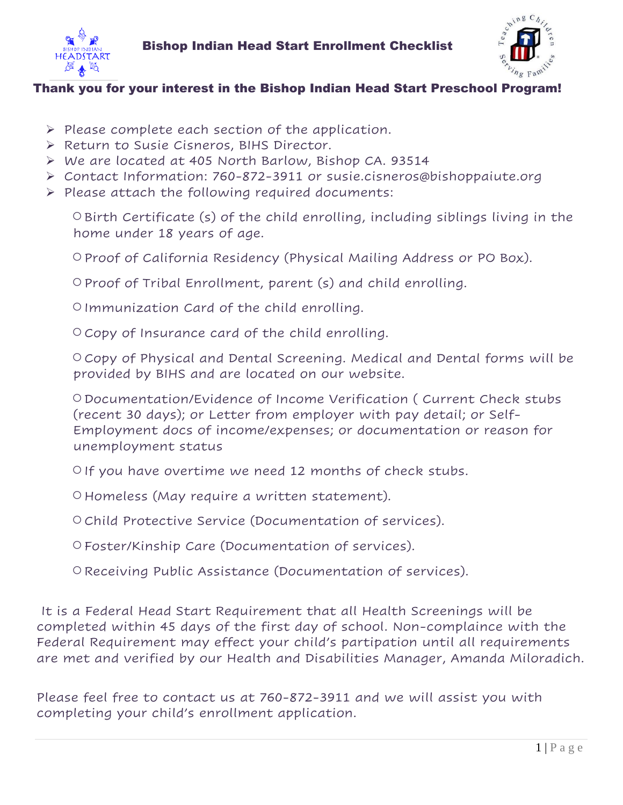



## Thank you for your interest in the Bishop Indian Head Start Preschool Program!

- ➢ Please complete each section of the application.
- ➢ Return to Susie Cisneros, BIHS Director.
- ➢ We are located at 405 North Barlow, Bishop CA. 93514
- ➢ Contact Information: 760-872-3911 or susie.cisneros@bishoppaiute.org
- ➢ Please attach the following required documents:

○Birth Certificate (s) of the child enrolling, including siblings living in the home under 18 years of age.

○Proof of California Residency (Physical Mailing Address or PO Box).

○Proof of Tribal Enrollment, parent (s) and child enrolling.

○Immunization Card of the child enrolling.

○Copy of Insurance card of the child enrolling.

○Copy of Physical and Dental Screening. Medical and Dental forms will be provided by BIHS and are located on our website.

○Documentation/Evidence of Income Verification ( Current Check stubs (recent 30 days); or Letter from employer with pay detail; or Self-Employment docs of income/expenses; or documentation or reason for unemployment status

○If you have overtime we need 12 months of check stubs.

○Homeless (May require a written statement).

○Child Protective Service (Documentation of services).

○Foster/Kinship Care (Documentation of services).

○Receiving Public Assistance (Documentation of services).

It is a Federal Head Start Requirement that all Health Screenings will be completed within 45 days of the first day of school. Non-complaince with the Federal Requirement may effect your child's partipation until all requirements are met and verified by our Health and Disabilities Manager, Amanda Miloradich.

Please feel free to contact us at 760-872-3911 and we will assist you with completing your child's enrollment application.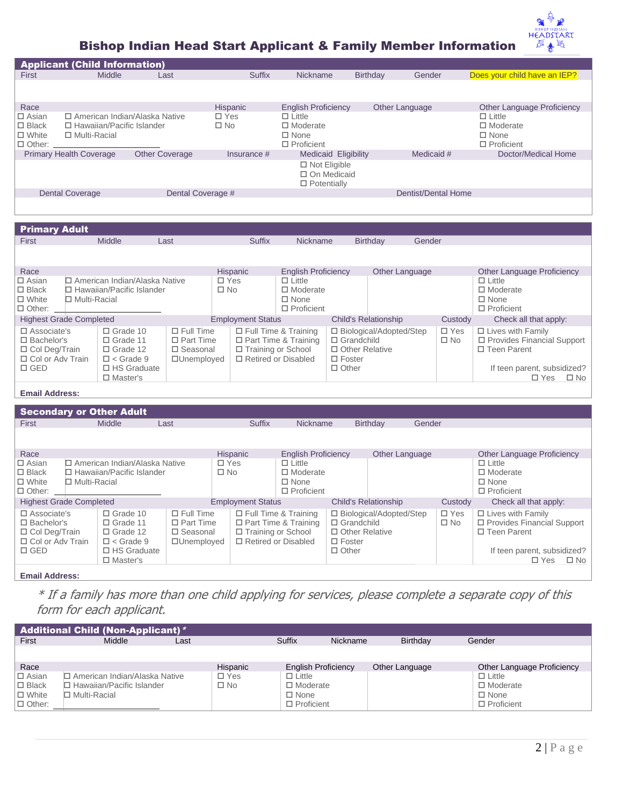# ₩ *LE A DET A DT*

r

| <b>Applicant (Child Information)</b><br>Suffix<br><b>Nickname</b><br>Birthday<br>Gender<br>Does your child have an IEP?<br><b>Middle</b><br>First<br>Last<br>Race<br>Hispanic<br><b>English Proficiency</b><br>Other Language<br>Other Language Proficiency<br>$\square$ Asian<br>□ American Indian/Alaska Native<br>$\Box$ Yes<br>$\Box$ Little<br>$\Box$ Little<br>$\square$ No<br>$\square$ Black<br>□ Hawaiian/Pacific Islander<br>$\Box$ Moderate<br>$\Box$ Moderate<br>$\Box$ None<br>□ Multi-Racial<br>$\Box$ None<br>□ White<br>$\Box$ Proficient<br>$\Box$ Other:<br>$\Box$ Proficient<br><b>Primary Health Coverage</b><br><b>Other Coverage</b><br>Medicaid #<br>Doctor/Medical Home<br>Medicaid Eligibility<br>Insurance $#$<br>$\Box$ Not Eligible<br>□ On Medicaid |  |  |  |  |  |  |  |  |
|----------------------------------------------------------------------------------------------------------------------------------------------------------------------------------------------------------------------------------------------------------------------------------------------------------------------------------------------------------------------------------------------------------------------------------------------------------------------------------------------------------------------------------------------------------------------------------------------------------------------------------------------------------------------------------------------------------------------------------------------------------------------------------|--|--|--|--|--|--|--|--|
|                                                                                                                                                                                                                                                                                                                                                                                                                                                                                                                                                                                                                                                                                                                                                                                  |  |  |  |  |  |  |  |  |
|                                                                                                                                                                                                                                                                                                                                                                                                                                                                                                                                                                                                                                                                                                                                                                                  |  |  |  |  |  |  |  |  |
|                                                                                                                                                                                                                                                                                                                                                                                                                                                                                                                                                                                                                                                                                                                                                                                  |  |  |  |  |  |  |  |  |
|                                                                                                                                                                                                                                                                                                                                                                                                                                                                                                                                                                                                                                                                                                                                                                                  |  |  |  |  |  |  |  |  |
|                                                                                                                                                                                                                                                                                                                                                                                                                                                                                                                                                                                                                                                                                                                                                                                  |  |  |  |  |  |  |  |  |
|                                                                                                                                                                                                                                                                                                                                                                                                                                                                                                                                                                                                                                                                                                                                                                                  |  |  |  |  |  |  |  |  |
| $\Box$ Potentially                                                                                                                                                                                                                                                                                                                                                                                                                                                                                                                                                                                                                                                                                                                                                               |  |  |  |  |  |  |  |  |
| Dentist/Dental Home<br>Dental Coverage #<br><b>Dental Coverage</b>                                                                                                                                                                                                                                                                                                                                                                                                                                                                                                                                                                                                                                                                                                               |  |  |  |  |  |  |  |  |
|                                                                                                                                                                                                                                                                                                                                                                                                                                                                                                                                                                                                                                                                                                                                                                                  |  |  |  |  |  |  |  |  |
|                                                                                                                                                                                                                                                                                                                                                                                                                                                                                                                                                                                                                                                                                                                                                                                  |  |  |  |  |  |  |  |  |
| <b>Primary Adult</b>                                                                                                                                                                                                                                                                                                                                                                                                                                                                                                                                                                                                                                                                                                                                                             |  |  |  |  |  |  |  |  |
| <b>Middle</b><br><b>Suffix</b><br><b>Nickname</b><br>First<br><b>Birthday</b><br>Gender<br>Last                                                                                                                                                                                                                                                                                                                                                                                                                                                                                                                                                                                                                                                                                  |  |  |  |  |  |  |  |  |

| Race                                             |                                        |  |                    | <b>Hispanic</b>          |            | <b>English Proficiency</b>  |                             | Other Language            |                             | <b>Other Language Proficiency</b> |              |
|--------------------------------------------------|----------------------------------------|--|--------------------|--------------------------|------------|-----------------------------|-----------------------------|---------------------------|-----------------------------|-----------------------------------|--------------|
| $\Box$ Asian<br>□ American Indian/Alaska Native  |                                        |  |                    |                          | $\Box$ Yes | $\Box$ Little               |                             |                           |                             | $\Box$ Little                     |              |
| $\Box$ Hawaiian/Pacific Islander<br>$\Box$ Black |                                        |  |                    |                          | $\Box$ No  | $\Box$ Moderate             |                             |                           |                             | $\Box$ Moderate                   |              |
| $\Box$ White<br>$\Box$ Multi-Racial              |                                        |  |                    |                          |            | $\Box$ None                 |                             |                           |                             | $\Box$ None                       |              |
| $\Box$ Other:                                    |                                        |  |                    |                          |            | $\Box$ Proficient           |                             |                           |                             | $\Box$ Proficient                 |              |
| <b>Highest Grade Completed</b>                   |                                        |  |                    | <b>Employment Status</b> |            |                             | <b>Child's Relationship</b> | Custody                   | Check all that apply:       |                                   |              |
| $\Box$ Associate's                               | $\Box$ Grade 10                        |  | $\Box$ Full Time   |                          |            | $\Box$ Full Time & Training |                             | □ Biological/Adopted/Step | $\Box$ Yes                  | $\Box$ Lives with Family          |              |
| $\square$ Bachelor's                             | $\Box$ Grade 11                        |  | $\Box$ Part Time   |                          |            | $\Box$ Part Time & Training | $\Box$ Grandchild           |                           | $\square$ No                | □ Provides Financial Support      |              |
| □ Col Deg/Train                                  | $\Box$ Grade 12                        |  | $\square$ Seasonal | □ Training or School     |            |                             | □ Other Relative            |                           |                             | $\Box$ Teen Parent                |              |
|                                                  | □ Col or Adv Train<br>$\Box$ < Grade 9 |  | □Unemployed        | □ Retired or Disabled    |            |                             | $\Box$ Foster               |                           |                             |                                   |              |
| $\Box$ GED                                       | $\Box$ HS Graduate                     |  |                    |                          |            | $\Box$ Other                |                             |                           | If teen parent, subsidized? |                                   |              |
|                                                  | $\Box$ Master's                        |  |                    |                          |            |                             |                             |                           |                             | $\Box$ Yes                        | $\square$ No |

### **Email Address:**

| <b>Other Language Proficiency</b> |
|-----------------------------------|
| $\Box$ Little                     |
| $\Box$ Moderate                   |
| $\Box$ None                       |
| $\Box$ Proficient                 |
| Check all that apply:             |
| $\Box$ Lives with Family          |
| □ Provides Financial Support      |
| $\Box$ Teen Parent                |
|                                   |
| If teen parent, subsidized?       |
| $\square$ No<br>$\Box$ Yes        |
|                                   |

#### **Email Address:**

\* If a family has more than one child applying for services, please complete a separate copy of this form for each applicant.

|               | <b>Additional Child (Non-Applicant)</b> * |      |            |                            |          |                 |                            |  |  |  |  |  |  |
|---------------|-------------------------------------------|------|------------|----------------------------|----------|-----------------|----------------------------|--|--|--|--|--|--|
| First         | Middle                                    | Last |            | <b>Suffix</b>              | Nickname | <b>Birthdav</b> | Gender                     |  |  |  |  |  |  |
|               |                                           |      |            |                            |          |                 |                            |  |  |  |  |  |  |
| Race          |                                           |      | Hispanic   | <b>English Proficiency</b> |          | Other Language  | Other Language Proficiency |  |  |  |  |  |  |
| $\Box$ Asian  | □ American Indian/Alaska Native           |      | $\Box$ Yes | $\Box$ Little              |          |                 | $\Box$ Little              |  |  |  |  |  |  |
| $\Box$ Black  | $\Box$ Hawaiian/Pacific Islander          |      | □ No       | $\Box$ Moderate            |          |                 | $\Box$ Moderate            |  |  |  |  |  |  |
| $\Box$ White  | $\Box$ Multi-Racial                       |      |            | $\Box$ None                |          |                 | $\Box$ None                |  |  |  |  |  |  |
| $\Box$ Other: |                                           |      |            | $\Box$ Proficient          |          |                 | $\Box$ Proficient          |  |  |  |  |  |  |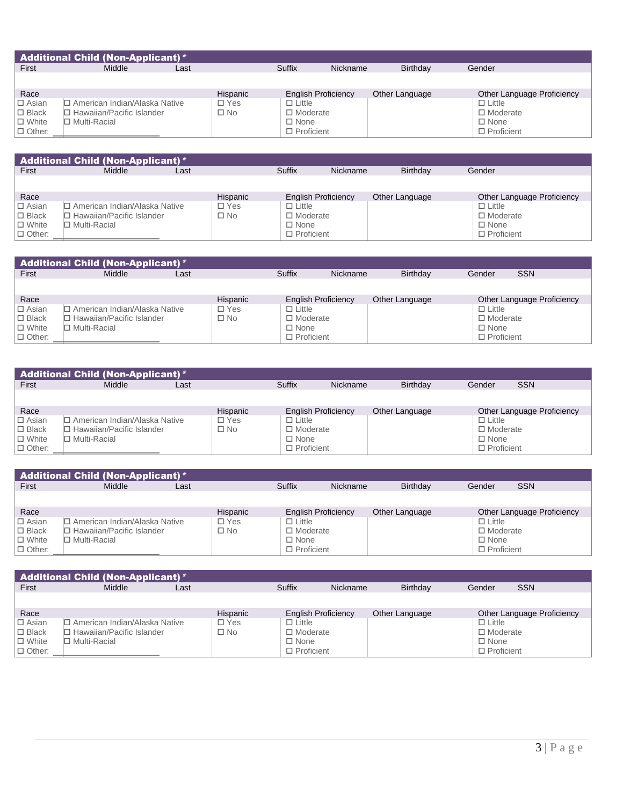|                 | <b>Additional Child <math>\overline{(Non\text{-}Applicant) * }</math></b> |      |          |                            |          |                 |                            |  |  |  |  |  |  |  |
|-----------------|---------------------------------------------------------------------------|------|----------|----------------------------|----------|-----------------|----------------------------|--|--|--|--|--|--|--|
| First           | Middle                                                                    | Last |          | <b>Suffix</b>              | Nickname | <b>Birthdav</b> | Gender                     |  |  |  |  |  |  |  |
|                 |                                                                           |      |          |                            |          |                 |                            |  |  |  |  |  |  |  |
| Race            |                                                                           |      | Hispanic | <b>English Proficiency</b> |          | Other Language  | Other Language Proficiency |  |  |  |  |  |  |  |
| $\Box$ Asian    | □ American Indian/Alaska Native                                           |      | □ Yes    | $\Box$ Little              |          |                 | $\Box$ Little              |  |  |  |  |  |  |  |
| $\square$ Black | $\Box$ Hawaiian/Pacific Islander                                          |      | □ No     | $\Box$ Moderate            |          |                 | □ Moderate                 |  |  |  |  |  |  |  |
| $\Box$ White    | $\Box$ Multi-Racial                                                       |      |          | $\Box$ None                |          |                 | $\Box$ None                |  |  |  |  |  |  |  |
| $\Box$ Other:   |                                                                           |      |          | $\Box$ Proficient          |          |                 | $\Box$ Proficient          |  |  |  |  |  |  |  |

| <b>Additional Child (Non-Applicant)*</b> |                                  |      |          |                            |          |                 |                            |  |  |  |  |  |
|------------------------------------------|----------------------------------|------|----------|----------------------------|----------|-----------------|----------------------------|--|--|--|--|--|
| First                                    | Middle                           | Last |          | Suffix                     | Nickname | <b>Birthdav</b> | Gender                     |  |  |  |  |  |
|                                          |                                  |      |          |                            |          |                 |                            |  |  |  |  |  |
| Race                                     |                                  |      | Hispanic | <b>English Proficiency</b> |          | Other Language  | Other Language Proficiency |  |  |  |  |  |
| $\Box$ Asian                             | □ American Indian/Alaska Native  |      | □ Yes    | $\Box$ Little              |          |                 | $\Box$ Little              |  |  |  |  |  |
| $\Box$ Black                             | $\Box$ Hawaiian/Pacific Islander |      | □ No     | $\Box$ Moderate            |          |                 | $\Box$ Moderate            |  |  |  |  |  |
| $\Box$ White                             | $\Box$ Multi-Racial              |      |          | $\Box$ None                |          |                 | $\Box$ None                |  |  |  |  |  |
| $\Box$ Other:                            |                                  |      |          | $\Box$ Proficient          |          |                 | $\Box$ Proficient          |  |  |  |  |  |

|               | <b>Additional Child (Non-Applicant)</b> * |      |          |                            |          |                 |                   |                            |  |  |  |  |  |  |
|---------------|-------------------------------------------|------|----------|----------------------------|----------|-----------------|-------------------|----------------------------|--|--|--|--|--|--|
| First         | Middle                                    | Last |          | <b>Suffix</b>              | Nickname | <b>Birthdav</b> | Gender            | <b>SSN</b>                 |  |  |  |  |  |  |
|               |                                           |      |          |                            |          |                 |                   |                            |  |  |  |  |  |  |
| Race          |                                           |      | Hispanic | <b>English Proficiency</b> |          | Other Language  |                   | Other Language Proficiency |  |  |  |  |  |  |
| $\Box$ Asian  | □ American Indian/Alaska Native           |      | □ Yes    | $\Box$ Little              |          |                 | $\Box$ Little     |                            |  |  |  |  |  |  |
| $\Box$ Black  | $\Box$ Hawaiian/Pacific Islander          |      | ∩ No     | $\Box$ Moderate            |          |                 | $\Box$ Moderate   |                            |  |  |  |  |  |  |
| $\Box$ White  | $\Box$ Multi-Racial                       |      |          | $\Box$ None                |          |                 | $\Box$ None       |                            |  |  |  |  |  |  |
| $\Box$ Other: |                                           |      |          | $\Box$ Proficient          |          |                 | $\Box$ Proficient |                            |  |  |  |  |  |  |

|               | <b>Additional Child (Non-Applicant)</b> * |      |          |                            |          |                 |                   |                            |  |  |  |  |  |  |
|---------------|-------------------------------------------|------|----------|----------------------------|----------|-----------------|-------------------|----------------------------|--|--|--|--|--|--|
| First         | Middle                                    | Last |          | Suffix                     | Nickname | <b>Birthdav</b> | Gender            | <b>SSN</b>                 |  |  |  |  |  |  |
|               |                                           |      |          |                            |          |                 |                   |                            |  |  |  |  |  |  |
| Race          |                                           |      | Hispanic | <b>English Proficiency</b> |          | Other Language  |                   | Other Language Proficiency |  |  |  |  |  |  |
| $\Box$ Asian  | □ American Indian/Alaska Native           |      | □ Yes    | $\Box$ Little              |          |                 | $\Box$ Little     |                            |  |  |  |  |  |  |
| $\Box$ Black  | $\Box$ Hawaiian/Pacific Islander          |      | □ No     | $\Box$ Moderate            |          |                 | $\Box$ Moderate   |                            |  |  |  |  |  |  |
| $\Box$ White  | $\Box$ Multi-Racial                       |      |          | $\Box$ None                |          |                 | $\Box$ None       |                            |  |  |  |  |  |  |
| $\Box$ Other: |                                           |      |          | $\Box$ Proficient          |          |                 | $\Box$ Proficient |                            |  |  |  |  |  |  |

|               | <b>Additional Child (Non-Applicant)</b> * |      |              |                            |          |                 |                   |                            |  |  |  |  |  |  |
|---------------|-------------------------------------------|------|--------------|----------------------------|----------|-----------------|-------------------|----------------------------|--|--|--|--|--|--|
| First         | Middle                                    | Last |              | Suffix                     | Nickname | <b>Birthdav</b> | Gender            | <b>SSN</b>                 |  |  |  |  |  |  |
|               |                                           |      |              |                            |          |                 |                   |                            |  |  |  |  |  |  |
| Race          |                                           |      | Hispanic     | <b>English Proficiency</b> |          | Other Language  |                   | Other Language Proficiency |  |  |  |  |  |  |
| $\Box$ Asian  | □ American Indian/Alaska Native           |      | $\Box$ Yes   | $\Box$ Little              |          |                 | $\Box$ Little     |                            |  |  |  |  |  |  |
| $\Box$ Black  | $\Box$ Hawaiian/Pacific Islander          |      | $\square$ No | $\Box$ Moderate            |          |                 | □ Moderate        |                            |  |  |  |  |  |  |
| $\Box$ White  | $\Box$ Multi-Racial                       |      |              | $\Box$ None                |          |                 | $\Box$ None       |                            |  |  |  |  |  |  |
| $\Box$ Other: |                                           |      |              | $\Box$ Proficient          |          |                 | $\Box$ Proficient |                            |  |  |  |  |  |  |

|               | <b>Additional Child (Non-Applicant)</b> * |      |          |                            |          |                 |                   |                            |  |  |  |  |  |  |
|---------------|-------------------------------------------|------|----------|----------------------------|----------|-----------------|-------------------|----------------------------|--|--|--|--|--|--|
| First         | Middle                                    | Last |          | Suffix                     | Nickname | <b>Birthdav</b> | Gender            | <b>SSN</b>                 |  |  |  |  |  |  |
|               |                                           |      |          |                            |          |                 |                   |                            |  |  |  |  |  |  |
| Race          |                                           |      | Hispanic | <b>English Proficiency</b> |          | Other Language  |                   | Other Language Proficiency |  |  |  |  |  |  |
| $\Box$ Asian  | ロ American Indian/Alaska Native           |      | □ Yes    | $\Box$ Little              |          |                 | $\Box$ Little     |                            |  |  |  |  |  |  |
| $\Box$ Black  | □ Hawaiian/Pacific Islander               |      | □ No     | $\Box$ Moderate            |          |                 | □ Moderate        |                            |  |  |  |  |  |  |
| $\Box$ White  | □ Multi-Racial                            |      |          | $\Box$ None                |          |                 | $\Box$ None       |                            |  |  |  |  |  |  |
| $\Box$ Other: |                                           |      |          | $\Box$ Proficient          |          |                 | $\Box$ Proficient |                            |  |  |  |  |  |  |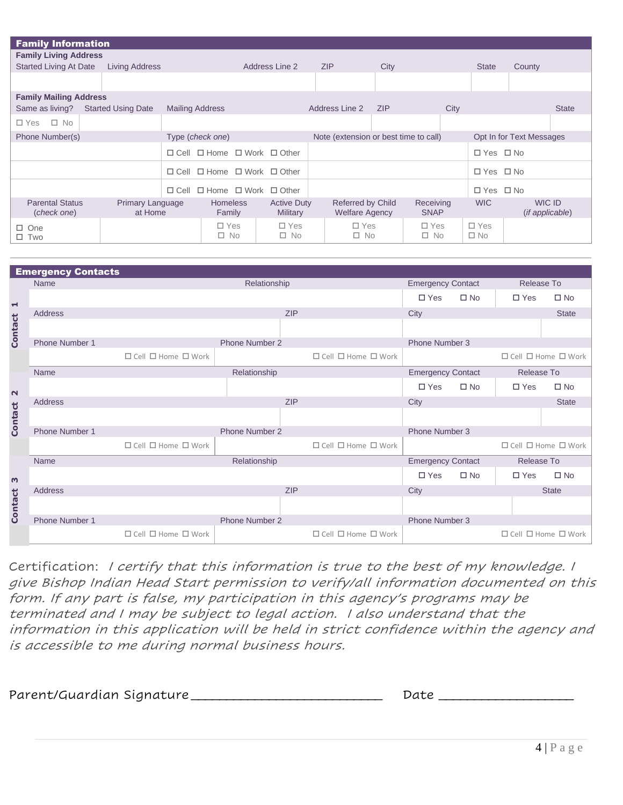|                                       | <b>Family Information</b>          |                |                                                  |  |                                       |  |                                            |            |                            |              |                            |                           |              |
|---------------------------------------|------------------------------------|----------------|--------------------------------------------------|--|---------------------------------------|--|--------------------------------------------|------------|----------------------------|--------------|----------------------------|---------------------------|--------------|
| <b>Family Living Address</b>          |                                    |                |                                                  |  |                                       |  |                                            |            |                            |              |                            |                           |              |
| <b>Started Living At Date</b>         | Living Address                     | Address Line 2 |                                                  |  |                                       |  | <b>ZIP</b><br>City                         |            |                            | <b>State</b> | County                     |                           |              |
|                                       |                                    |                |                                                  |  |                                       |  |                                            |            |                            |              |                            |                           |              |
| <b>Family Mailing Address</b>         |                                    |                |                                                  |  |                                       |  |                                            |            |                            |              |                            |                           |              |
| Same as living?                       | <b>Started Using Date</b>          |                | <b>Mailing Address</b>                           |  |                                       |  | Address Line 2                             | <b>ZIP</b> |                            | City         |                            |                           | <b>State</b> |
| $\square$ No<br>□ Yes                 |                                    |                |                                                  |  |                                       |  |                                            |            |                            |              |                            |                           |              |
| Phone Number(s)                       |                                    |                | Type (check one)                                 |  |                                       |  | Note (extension or best time to call)      |            |                            |              |                            | Opt In for Text Messages  |              |
|                                       |                                    |                | $\Box$ Cell $\Box$ Home $\Box$ Work $\Box$ Other |  |                                       |  |                                            |            |                            |              | $\Box$ Yes $\Box$ No       |                           |              |
|                                       |                                    | $\Box$ Cell    | $\Box$ Home                                      |  | $\Box$ Work $\Box$ Other              |  |                                            |            |                            |              | $\Box$ Yes $\Box$ No       |                           |              |
|                                       |                                    | $\Box$ Cell    | $\Box$ Home $\Box$ Work $\Box$ Other             |  |                                       |  |                                            |            |                            |              | $\Box$ Yes $\Box$ No       |                           |              |
| <b>Parental Status</b><br>(check one) | <b>Primary Language</b><br>at Home |                | <b>Homeless</b><br>Family                        |  | <b>Active Duty</b><br><b>Military</b> |  | Referred by Child<br><b>Welfare Agency</b> |            | Receiving<br><b>SNAP</b>   |              | <b>WIC</b>                 | WIC ID<br>(if applicable) |              |
| $\Box$ One<br>$\square$ Two           |                                    |                | $\Box$ Yes<br>$\square$ No                       |  | $\square$ Yes<br>$\square$ No         |  | $\Box$ Yes<br>$\square$ No                 |            | $\Box$ Yes<br>$\square$ No |              | $\Box$ Yes<br>$\square$ No |                           |              |

|                          | <b>Emergency Contacts</b> |                                                                                                                                                                                                                                                                                                                                                                                                                                                                                                |                       |            |                                     |                          |              |               |                                     |
|--------------------------|---------------------------|------------------------------------------------------------------------------------------------------------------------------------------------------------------------------------------------------------------------------------------------------------------------------------------------------------------------------------------------------------------------------------------------------------------------------------------------------------------------------------------------|-----------------------|------------|-------------------------------------|--------------------------|--------------|---------------|-------------------------------------|
|                          | Name                      |                                                                                                                                                                                                                                                                                                                                                                                                                                                                                                | Relationship          |            |                                     | <b>Emergency Contact</b> |              | Release To    |                                     |
| $\overline{\phantom{0}}$ |                           |                                                                                                                                                                                                                                                                                                                                                                                                                                                                                                |                       |            |                                     | $\Box$ Yes               | $\square$ No | $\square$ Yes | $\square$ No                        |
|                          | Address                   |                                                                                                                                                                                                                                                                                                                                                                                                                                                                                                |                       | <b>ZIP</b> |                                     | City                     |              |               | <b>State</b>                        |
| <b>Contact</b>           |                           |                                                                                                                                                                                                                                                                                                                                                                                                                                                                                                |                       |            |                                     |                          |              |               |                                     |
|                          | Phone Number 1            |                                                                                                                                                                                                                                                                                                                                                                                                                                                                                                | <b>Phone Number 2</b> |            |                                     | Phone Number 3           |              |               |                                     |
|                          |                           | $\Box$ Cell $\Box$ Home $\Box$ Work                                                                                                                                                                                                                                                                                                                                                                                                                                                            |                       |            | $\Box$ Cell $\Box$ Home $\Box$ Work |                          |              |               | $\Box$ Cell $\Box$ Home $\Box$ Work |
|                          | <b>Name</b>               |                                                                                                                                                                                                                                                                                                                                                                                                                                                                                                | Relationship          |            |                                     | <b>Emergency Contact</b> |              | Release To    |                                     |
|                          |                           |                                                                                                                                                                                                                                                                                                                                                                                                                                                                                                |                       |            |                                     | $\Box$ Yes               | $\square$ No | $\square$ Yes | $\square$ No                        |
| $\sim$                   | Address                   |                                                                                                                                                                                                                                                                                                                                                                                                                                                                                                |                       | <b>ZIP</b> |                                     | City                     |              |               | <b>State</b>                        |
| Contact                  |                           |                                                                                                                                                                                                                                                                                                                                                                                                                                                                                                |                       |            |                                     |                          |              |               |                                     |
|                          | Phone Number 1            |                                                                                                                                                                                                                                                                                                                                                                                                                                                                                                | <b>Phone Number 2</b> |            |                                     | Phone Number 3           |              |               |                                     |
|                          |                           | $\Box$ Cell $\Box$ Home $\Box$ Work                                                                                                                                                                                                                                                                                                                                                                                                                                                            |                       |            | $\Box$ Cell $\Box$ Home $\Box$ Work |                          |              |               | $\Box$ Cell $\Box$ Home $\Box$ Work |
|                          | <b>Name</b>               |                                                                                                                                                                                                                                                                                                                                                                                                                                                                                                | Relationship          |            |                                     | <b>Emergency Contact</b> |              | Release To    |                                     |
| $\omega$                 |                           |                                                                                                                                                                                                                                                                                                                                                                                                                                                                                                |                       |            |                                     | $\Box$ Yes               | $\square$ No | $\Box$ Yes    | $\Box$ No                           |
|                          | <b>Address</b>            |                                                                                                                                                                                                                                                                                                                                                                                                                                                                                                |                       | <b>ZIP</b> |                                     | City                     |              |               | <b>State</b>                        |
| <b>Contact</b>           |                           |                                                                                                                                                                                                                                                                                                                                                                                                                                                                                                |                       |            |                                     |                          |              |               |                                     |
|                          | Phone Number 1            |                                                                                                                                                                                                                                                                                                                                                                                                                                                                                                | Phone Number 2        |            |                                     | Phone Number 3           |              |               |                                     |
|                          |                           | $\Box$ Cell $\Box$ Home $\Box$ Work                                                                                                                                                                                                                                                                                                                                                                                                                                                            |                       |            | $\Box$ Cell $\Box$ Home $\Box$ Work |                          |              |               | $\Box$ Cell $\Box$ Home $\Box$ Work |
|                          |                           |                                                                                                                                                                                                                                                                                                                                                                                                                                                                                                |                       |            |                                     |                          |              |               |                                     |
|                          |                           | Certification: I certify that this information is true to the best of my knowledge. I<br>give Bishop Indian Head Start permission to verify/all information documented on this<br>form. If any part is false, my participation in this agency's programs may be<br>terminated and I may be subject to legal action. I also understand that the<br>information in this application will be held in strict confidence within the agency and<br>is accessible to me during normal business hours. |                       |            |                                     |                          |              |               |                                     |
|                          | Parent/Guardian Signature |                                                                                                                                                                                                                                                                                                                                                                                                                                                                                                |                       |            |                                     | Date                     |              |               |                                     |

| Parent/Guardian Signature | Date |
|---------------------------|------|
|---------------------------|------|